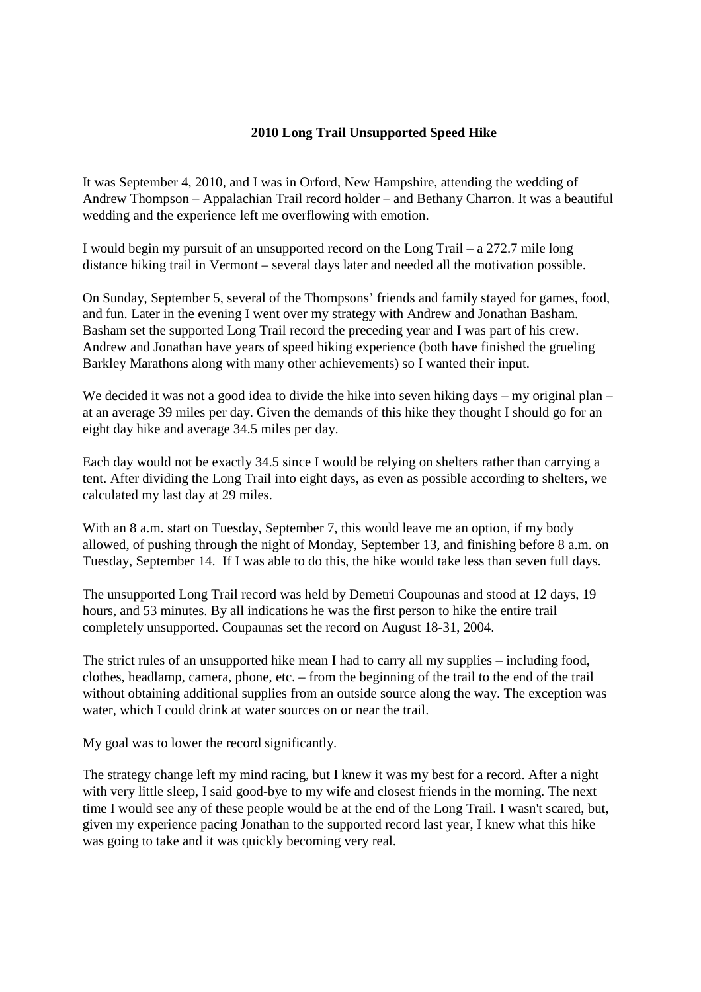### **2010 Long Trail Unsupported Speed Hike**

It was September 4, 2010, and I was in Orford, New Hampshire, attending the wedding of Andrew Thompson – Appalachian Trail record holder – and Bethany Charron. It was a beautiful wedding and the experience left me overflowing with emotion.

I would begin my pursuit of an unsupported record on the Long Trail – a 272.7 mile long distance hiking trail in Vermont – several days later and needed all the motivation possible.

On Sunday, September 5, several of the Thompsons' friends and family stayed for games, food, and fun. Later in the evening I went over my strategy with Andrew and Jonathan Basham. Basham set the supported Long Trail record the preceding year and I was part of his crew. Andrew and Jonathan have years of speed hiking experience (both have finished the grueling Barkley Marathons along with many other achievements) so I wanted their input.

We decided it was not a good idea to divide the hike into seven hiking days – my original plan – at an average 39 miles per day. Given the demands of this hike they thought I should go for an eight day hike and average 34.5 miles per day.

Each day would not be exactly 34.5 since I would be relying on shelters rather than carrying a tent. After dividing the Long Trail into eight days, as even as possible according to shelters, we calculated my last day at 29 miles.

With an 8 a.m. start on Tuesday, September 7, this would leave me an option, if my body allowed, of pushing through the night of Monday, September 13, and finishing before 8 a.m. on Tuesday, September 14. If I was able to do this, the hike would take less than seven full days.

The unsupported Long Trail record was held by Demetri Coupounas and stood at 12 days, 19 hours, and 53 minutes. By all indications he was the first person to hike the entire trail completely unsupported. Coupaunas set the record on August 18-31, 2004.

The strict rules of an unsupported hike mean I had to carry all my supplies – including food, clothes, headlamp, camera, phone, etc. – from the beginning of the trail to the end of the trail without obtaining additional supplies from an outside source along the way. The exception was water, which I could drink at water sources on or near the trail.

My goal was to lower the record significantly.

The strategy change left my mind racing, but I knew it was my best for a record. After a night with very little sleep, I said good-bye to my wife and closest friends in the morning. The next time I would see any of these people would be at the end of the Long Trail. I wasn't scared, but, given my experience pacing Jonathan to the supported record last year, I knew what this hike was going to take and it was quickly becoming very real.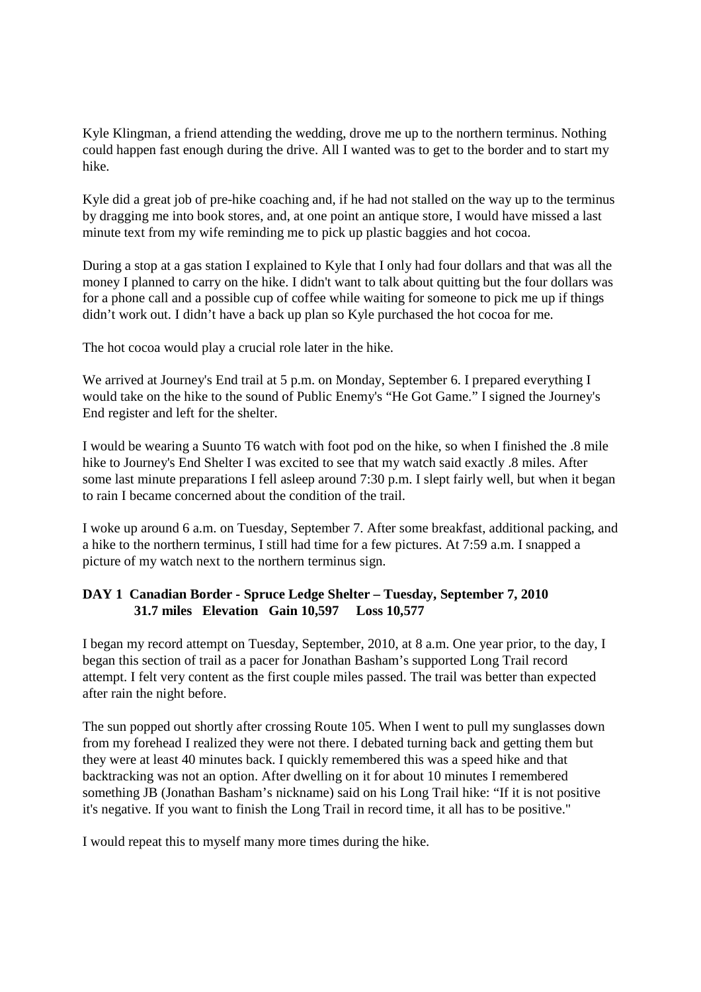Kyle Klingman, a friend attending the wedding, drove me up to the northern terminus. Nothing could happen fast enough during the drive. All I wanted was to get to the border and to start my hike.

Kyle did a great job of pre-hike coaching and, if he had not stalled on the way up to the terminus by dragging me into book stores, and, at one point an antique store, I would have missed a last minute text from my wife reminding me to pick up plastic baggies and hot cocoa.

During a stop at a gas station I explained to Kyle that I only had four dollars and that was all the money I planned to carry on the hike. I didn't want to talk about quitting but the four dollars was for a phone call and a possible cup of coffee while waiting for someone to pick me up if things didn't work out. I didn't have a back up plan so Kyle purchased the hot cocoa for me.

The hot cocoa would play a crucial role later in the hike.

We arrived at Journey's End trail at 5 p.m. on Monday, September 6. I prepared everything I would take on the hike to the sound of Public Enemy's "He Got Game." I signed the Journey's End register and left for the shelter.

I would be wearing a Suunto T6 watch with foot pod on the hike, so when I finished the .8 mile hike to Journey's End Shelter I was excited to see that my watch said exactly .8 miles. After some last minute preparations I fell asleep around 7:30 p.m. I slept fairly well, but when it began to rain I became concerned about the condition of the trail.

I woke up around 6 a.m. on Tuesday, September 7. After some breakfast, additional packing, and a hike to the northern terminus, I still had time for a few pictures. At 7:59 a.m. I snapped a picture of my watch next to the northern terminus sign.

# **DAY 1 Canadian Border - Spruce Ledge Shelter – Tuesday, September 7, 2010 31.7 miles Elevation Gain 10,597 Loss 10,577**

I began my record attempt on Tuesday, September, 2010, at 8 a.m. One year prior, to the day, I began this section of trail as a pacer for Jonathan Basham's supported Long Trail record attempt. I felt very content as the first couple miles passed. The trail was better than expected after rain the night before.

The sun popped out shortly after crossing Route 105. When I went to pull my sunglasses down from my forehead I realized they were not there. I debated turning back and getting them but they were at least 40 minutes back. I quickly remembered this was a speed hike and that backtracking was not an option. After dwelling on it for about 10 minutes I remembered something JB (Jonathan Basham's nickname) said on his Long Trail hike: "If it is not positive it's negative. If you want to finish the Long Trail in record time, it all has to be positive."

I would repeat this to myself many more times during the hike.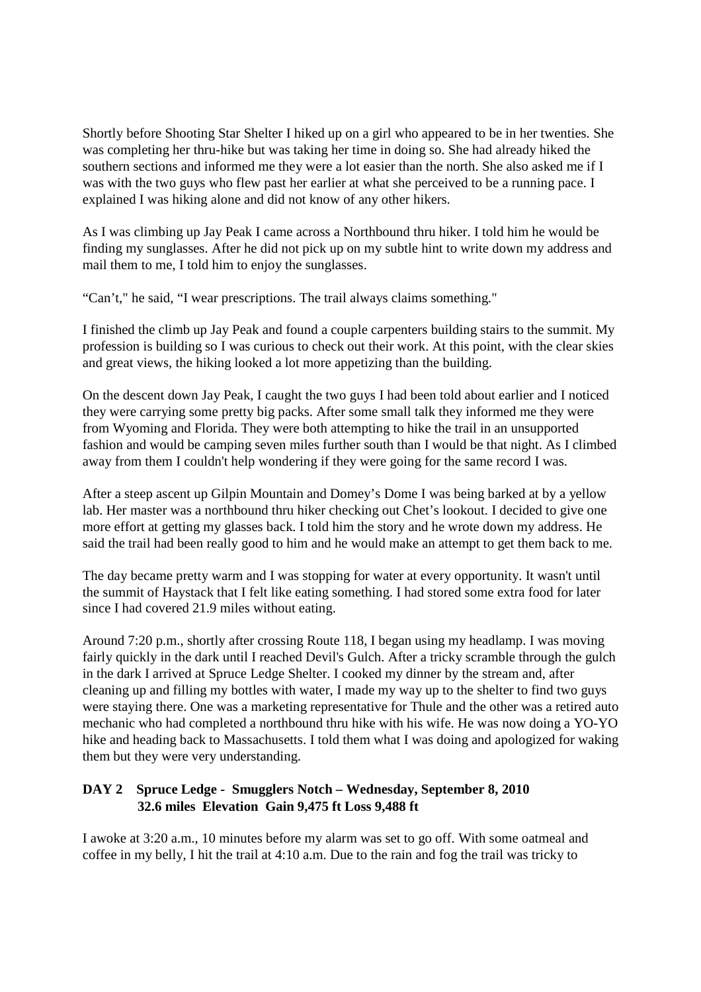Shortly before Shooting Star Shelter I hiked up on a girl who appeared to be in her twenties. She was completing her thru-hike but was taking her time in doing so. She had already hiked the southern sections and informed me they were a lot easier than the north. She also asked me if I was with the two guys who flew past her earlier at what she perceived to be a running pace. I explained I was hiking alone and did not know of any other hikers.

As I was climbing up Jay Peak I came across a Northbound thru hiker. I told him he would be finding my sunglasses. After he did not pick up on my subtle hint to write down my address and mail them to me, I told him to enjoy the sunglasses.

"Can't," he said, "I wear prescriptions. The trail always claims something."

I finished the climb up Jay Peak and found a couple carpenters building stairs to the summit. My profession is building so I was curious to check out their work. At this point, with the clear skies and great views, the hiking looked a lot more appetizing than the building.

On the descent down Jay Peak, I caught the two guys I had been told about earlier and I noticed they were carrying some pretty big packs. After some small talk they informed me they were from Wyoming and Florida. They were both attempting to hike the trail in an unsupported fashion and would be camping seven miles further south than I would be that night. As I climbed away from them I couldn't help wondering if they were going for the same record I was.

After a steep ascent up Gilpin Mountain and Domey's Dome I was being barked at by a yellow lab. Her master was a northbound thru hiker checking out Chet's lookout. I decided to give one more effort at getting my glasses back. I told him the story and he wrote down my address. He said the trail had been really good to him and he would make an attempt to get them back to me.

The day became pretty warm and I was stopping for water at every opportunity. It wasn't until the summit of Haystack that I felt like eating something. I had stored some extra food for later since I had covered 21.9 miles without eating.

Around 7:20 p.m., shortly after crossing Route 118, I began using my headlamp. I was moving fairly quickly in the dark until I reached Devil's Gulch. After a tricky scramble through the gulch in the dark I arrived at Spruce Ledge Shelter. I cooked my dinner by the stream and, after cleaning up and filling my bottles with water, I made my way up to the shelter to find two guys were staying there. One was a marketing representative for Thule and the other was a retired auto mechanic who had completed a northbound thru hike with his wife. He was now doing a YO-YO hike and heading back to Massachusetts. I told them what I was doing and apologized for waking them but they were very understanding.

# **DAY 2 Spruce Ledge - Smugglers Notch – Wednesday, September 8, 2010 32.6 miles Elevation Gain 9,475 ft Loss 9,488 ft**

I awoke at 3:20 a.m., 10 minutes before my alarm was set to go off. With some oatmeal and coffee in my belly, I hit the trail at 4:10 a.m. Due to the rain and fog the trail was tricky to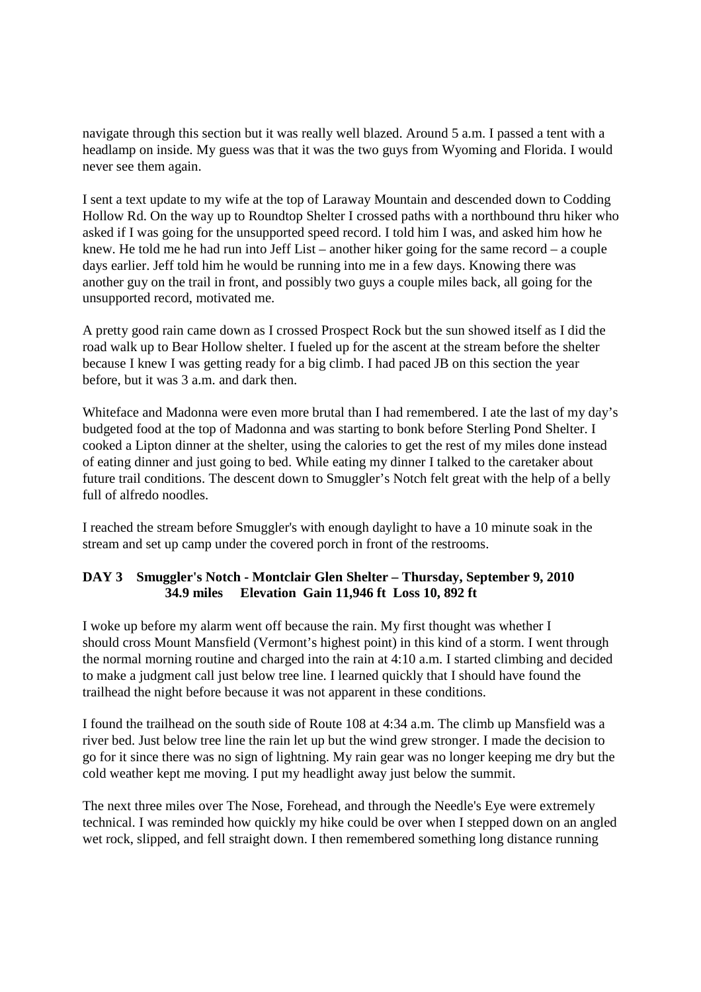navigate through this section but it was really well blazed. Around 5 a.m. I passed a tent with a headlamp on inside. My guess was that it was the two guys from Wyoming and Florida. I would never see them again.

I sent a text update to my wife at the top of Laraway Mountain and descended down to Codding Hollow Rd. On the way up to Roundtop Shelter I crossed paths with a northbound thru hiker who asked if I was going for the unsupported speed record. I told him I was, and asked him how he knew. He told me he had run into Jeff List – another hiker going for the same record – a couple days earlier. Jeff told him he would be running into me in a few days. Knowing there was another guy on the trail in front, and possibly two guys a couple miles back, all going for the unsupported record, motivated me.

A pretty good rain came down as I crossed Prospect Rock but the sun showed itself as I did the road walk up to Bear Hollow shelter. I fueled up for the ascent at the stream before the shelter because I knew I was getting ready for a big climb. I had paced JB on this section the year before, but it was 3 a.m. and dark then.

Whiteface and Madonna were even more brutal than I had remembered. I ate the last of my day's budgeted food at the top of Madonna and was starting to bonk before Sterling Pond Shelter. I cooked a Lipton dinner at the shelter, using the calories to get the rest of my miles done instead of eating dinner and just going to bed. While eating my dinner I talked to the caretaker about future trail conditions. The descent down to Smuggler's Notch felt great with the help of a belly full of alfredo noodles.

I reached the stream before Smuggler's with enough daylight to have a 10 minute soak in the stream and set up camp under the covered porch in front of the restrooms.

# **DAY 3 Smuggler's Notch - Montclair Glen Shelter – Thursday, September 9, 2010 34.9 miles Elevation Gain 11,946 ft Loss 10, 892 ft**

I woke up before my alarm went off because the rain. My first thought was whether I should cross Mount Mansfield (Vermont's highest point) in this kind of a storm. I went through the normal morning routine and charged into the rain at 4:10 a.m. I started climbing and decided to make a judgment call just below tree line. I learned quickly that I should have found the trailhead the night before because it was not apparent in these conditions.

I found the trailhead on the south side of Route 108 at 4:34 a.m. The climb up Mansfield was a river bed. Just below tree line the rain let up but the wind grew stronger. I made the decision to go for it since there was no sign of lightning. My rain gear was no longer keeping me dry but the cold weather kept me moving. I put my headlight away just below the summit.

The next three miles over The Nose, Forehead, and through the Needle's Eye were extremely technical. I was reminded how quickly my hike could be over when I stepped down on an angled wet rock, slipped, and fell straight down. I then remembered something long distance running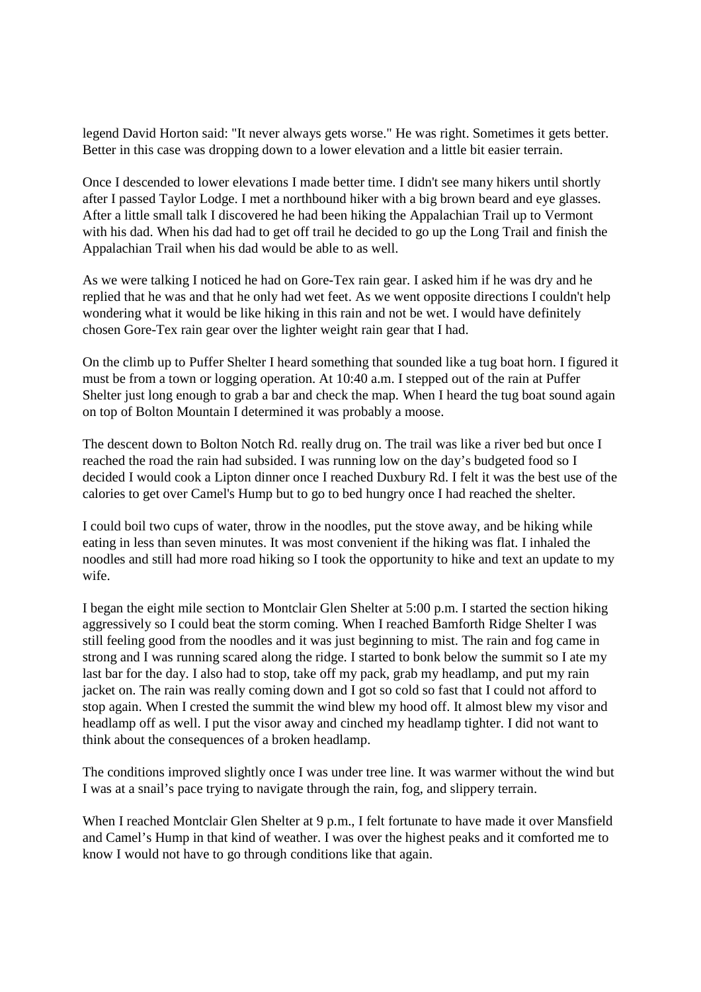legend David Horton said: "It never always gets worse." He was right. Sometimes it gets better. Better in this case was dropping down to a lower elevation and a little bit easier terrain.

Once I descended to lower elevations I made better time. I didn't see many hikers until shortly after I passed Taylor Lodge. I met a northbound hiker with a big brown beard and eye glasses. After a little small talk I discovered he had been hiking the Appalachian Trail up to Vermont with his dad. When his dad had to get off trail he decided to go up the Long Trail and finish the Appalachian Trail when his dad would be able to as well.

As we were talking I noticed he had on Gore-Tex rain gear. I asked him if he was dry and he replied that he was and that he only had wet feet. As we went opposite directions I couldn't help wondering what it would be like hiking in this rain and not be wet. I would have definitely chosen Gore-Tex rain gear over the lighter weight rain gear that I had.

On the climb up to Puffer Shelter I heard something that sounded like a tug boat horn. I figured it must be from a town or logging operation. At 10:40 a.m. I stepped out of the rain at Puffer Shelter just long enough to grab a bar and check the map. When I heard the tug boat sound again on top of Bolton Mountain I determined it was probably a moose.

The descent down to Bolton Notch Rd. really drug on. The trail was like a river bed but once I reached the road the rain had subsided. I was running low on the day's budgeted food so I decided I would cook a Lipton dinner once I reached Duxbury Rd. I felt it was the best use of the calories to get over Camel's Hump but to go to bed hungry once I had reached the shelter.

I could boil two cups of water, throw in the noodles, put the stove away, and be hiking while eating in less than seven minutes. It was most convenient if the hiking was flat. I inhaled the noodles and still had more road hiking so I took the opportunity to hike and text an update to my wife.

I began the eight mile section to Montclair Glen Shelter at 5:00 p.m. I started the section hiking aggressively so I could beat the storm coming. When I reached Bamforth Ridge Shelter I was still feeling good from the noodles and it was just beginning to mist. The rain and fog came in strong and I was running scared along the ridge. I started to bonk below the summit so I ate my last bar for the day. I also had to stop, take off my pack, grab my headlamp, and put my rain jacket on. The rain was really coming down and I got so cold so fast that I could not afford to stop again. When I crested the summit the wind blew my hood off. It almost blew my visor and headlamp off as well. I put the visor away and cinched my headlamp tighter. I did not want to think about the consequences of a broken headlamp.

The conditions improved slightly once I was under tree line. It was warmer without the wind but I was at a snail's pace trying to navigate through the rain, fog, and slippery terrain.

When I reached Montclair Glen Shelter at 9 p.m., I felt fortunate to have made it over Mansfield and Camel's Hump in that kind of weather. I was over the highest peaks and it comforted me to know I would not have to go through conditions like that again.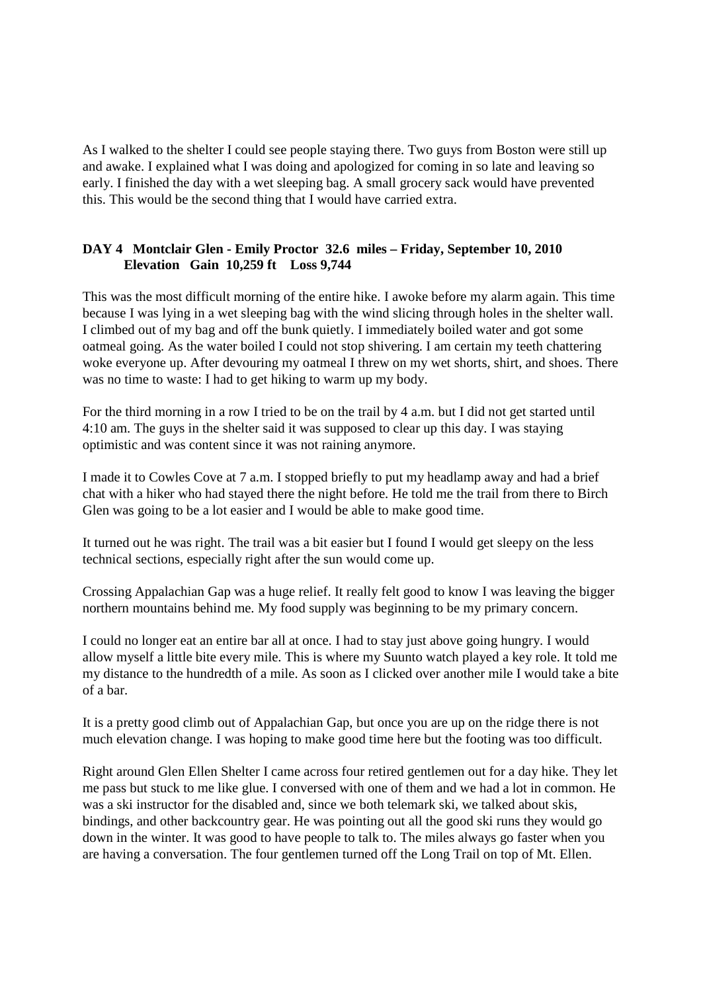As I walked to the shelter I could see people staying there. Two guys from Boston were still up and awake. I explained what I was doing and apologized for coming in so late and leaving so early. I finished the day with a wet sleeping bag. A small grocery sack would have prevented this. This would be the second thing that I would have carried extra.

# **DAY 4 Montclair Glen - Emily Proctor 32.6 miles – Friday, September 10, 2010 Elevation Gain 10,259 ft Loss 9,744**

This was the most difficult morning of the entire hike. I awoke before my alarm again. This time because I was lying in a wet sleeping bag with the wind slicing through holes in the shelter wall. I climbed out of my bag and off the bunk quietly. I immediately boiled water and got some oatmeal going. As the water boiled I could not stop shivering. I am certain my teeth chattering woke everyone up. After devouring my oatmeal I threw on my wet shorts, shirt, and shoes. There was no time to waste: I had to get hiking to warm up my body.

For the third morning in a row I tried to be on the trail by 4 a.m. but I did not get started until 4:10 am. The guys in the shelter said it was supposed to clear up this day. I was staying optimistic and was content since it was not raining anymore.

I made it to Cowles Cove at 7 a.m. I stopped briefly to put my headlamp away and had a brief chat with a hiker who had stayed there the night before. He told me the trail from there to Birch Glen was going to be a lot easier and I would be able to make good time.

It turned out he was right. The trail was a bit easier but I found I would get sleepy on the less technical sections, especially right after the sun would come up.

Crossing Appalachian Gap was a huge relief. It really felt good to know I was leaving the bigger northern mountains behind me. My food supply was beginning to be my primary concern.

I could no longer eat an entire bar all at once. I had to stay just above going hungry. I would allow myself a little bite every mile. This is where my Suunto watch played a key role. It told me my distance to the hundredth of a mile. As soon as I clicked over another mile I would take a bite of a bar.

It is a pretty good climb out of Appalachian Gap, but once you are up on the ridge there is not much elevation change. I was hoping to make good time here but the footing was too difficult.

Right around Glen Ellen Shelter I came across four retired gentlemen out for a day hike. They let me pass but stuck to me like glue. I conversed with one of them and we had a lot in common. He was a ski instructor for the disabled and, since we both telemark ski, we talked about skis, bindings, and other backcountry gear. He was pointing out all the good ski runs they would go down in the winter. It was good to have people to talk to. The miles always go faster when you are having a conversation. The four gentlemen turned off the Long Trail on top of Mt. Ellen.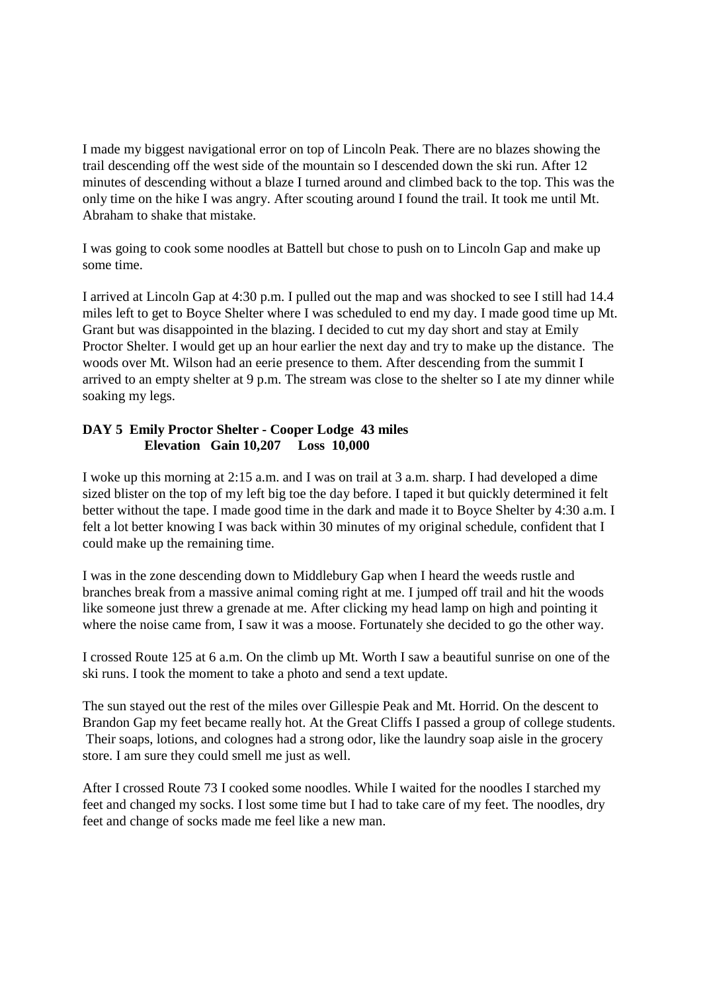I made my biggest navigational error on top of Lincoln Peak. There are no blazes showing the trail descending off the west side of the mountain so I descended down the ski run. After 12 minutes of descending without a blaze I turned around and climbed back to the top. This was the only time on the hike I was angry. After scouting around I found the trail. It took me until Mt. Abraham to shake that mistake.

I was going to cook some noodles at Battell but chose to push on to Lincoln Gap and make up some time.

I arrived at Lincoln Gap at 4:30 p.m. I pulled out the map and was shocked to see I still had 14.4 miles left to get to Boyce Shelter where I was scheduled to end my day. I made good time up Mt. Grant but was disappointed in the blazing. I decided to cut my day short and stay at Emily Proctor Shelter. I would get up an hour earlier the next day and try to make up the distance. The woods over Mt. Wilson had an eerie presence to them. After descending from the summit I arrived to an empty shelter at 9 p.m. The stream was close to the shelter so I ate my dinner while soaking my legs.

### **DAY 5 Emily Proctor Shelter - Cooper Lodge 43 miles Elevation Gain 10,207 Loss 10,000**

I woke up this morning at 2:15 a.m. and I was on trail at 3 a.m. sharp. I had developed a dime sized blister on the top of my left big toe the day before. I taped it but quickly determined it felt better without the tape. I made good time in the dark and made it to Boyce Shelter by 4:30 a.m. I felt a lot better knowing I was back within 30 minutes of my original schedule, confident that I could make up the remaining time.

I was in the zone descending down to Middlebury Gap when I heard the weeds rustle and branches break from a massive animal coming right at me. I jumped off trail and hit the woods like someone just threw a grenade at me. After clicking my head lamp on high and pointing it where the noise came from, I saw it was a moose. Fortunately she decided to go the other way.

I crossed Route 125 at 6 a.m. On the climb up Mt. Worth I saw a beautiful sunrise on one of the ski runs. I took the moment to take a photo and send a text update.

The sun stayed out the rest of the miles over Gillespie Peak and Mt. Horrid. On the descent to Brandon Gap my feet became really hot. At the Great Cliffs I passed a group of college students. Their soaps, lotions, and colognes had a strong odor, like the laundry soap aisle in the grocery store. I am sure they could smell me just as well.

After I crossed Route 73 I cooked some noodles. While I waited for the noodles I starched my feet and changed my socks. I lost some time but I had to take care of my feet. The noodles, dry feet and change of socks made me feel like a new man.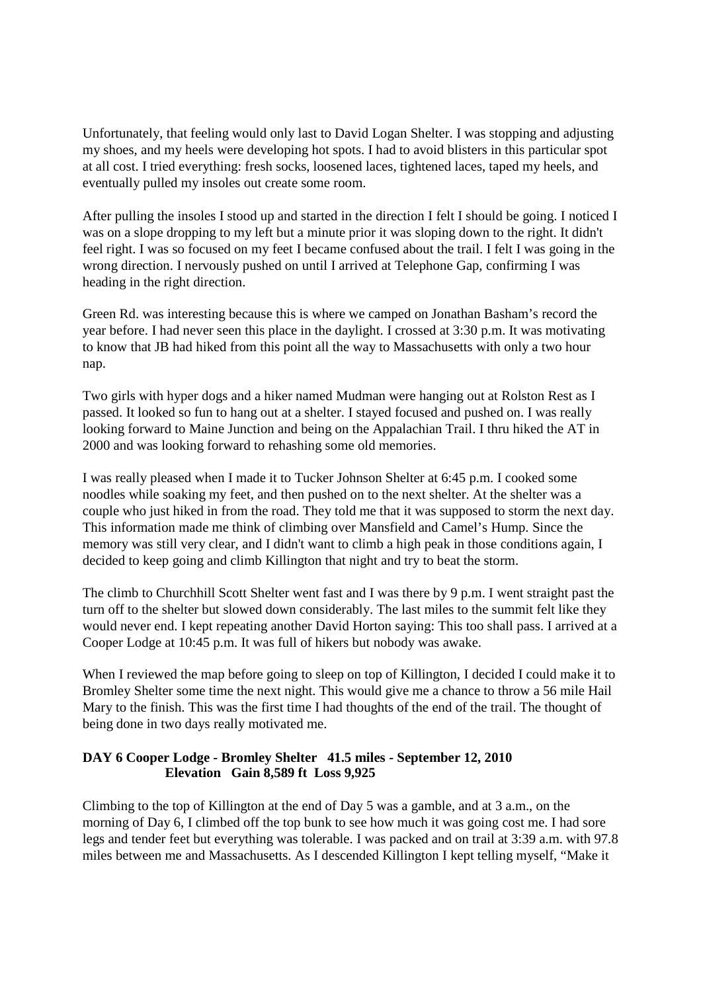Unfortunately, that feeling would only last to David Logan Shelter. I was stopping and adjusting my shoes, and my heels were developing hot spots. I had to avoid blisters in this particular spot at all cost. I tried everything: fresh socks, loosened laces, tightened laces, taped my heels, and eventually pulled my insoles out create some room.

After pulling the insoles I stood up and started in the direction I felt I should be going. I noticed I was on a slope dropping to my left but a minute prior it was sloping down to the right. It didn't feel right. I was so focused on my feet I became confused about the trail. I felt I was going in the wrong direction. I nervously pushed on until I arrived at Telephone Gap, confirming I was heading in the right direction.

Green Rd. was interesting because this is where we camped on Jonathan Basham's record the year before. I had never seen this place in the daylight. I crossed at 3:30 p.m. It was motivating to know that JB had hiked from this point all the way to Massachusetts with only a two hour nap.

Two girls with hyper dogs and a hiker named Mudman were hanging out at Rolston Rest as I passed. It looked so fun to hang out at a shelter. I stayed focused and pushed on. I was really looking forward to Maine Junction and being on the Appalachian Trail. I thru hiked the AT in 2000 and was looking forward to rehashing some old memories.

I was really pleased when I made it to Tucker Johnson Shelter at 6:45 p.m. I cooked some noodles while soaking my feet, and then pushed on to the next shelter. At the shelter was a couple who just hiked in from the road. They told me that it was supposed to storm the next day. This information made me think of climbing over Mansfield and Camel's Hump. Since the memory was still very clear, and I didn't want to climb a high peak in those conditions again, I decided to keep going and climb Killington that night and try to beat the storm.

The climb to Churchhill Scott Shelter went fast and I was there by 9 p.m. I went straight past the turn off to the shelter but slowed down considerably. The last miles to the summit felt like they would never end. I kept repeating another David Horton saying: This too shall pass. I arrived at a Cooper Lodge at 10:45 p.m. It was full of hikers but nobody was awake.

When I reviewed the map before going to sleep on top of Killington, I decided I could make it to Bromley Shelter some time the next night. This would give me a chance to throw a 56 mile Hail Mary to the finish. This was the first time I had thoughts of the end of the trail. The thought of being done in two days really motivated me.

### **DAY 6 Cooper Lodge - Bromley Shelter 41.5 miles - September 12, 2010 Elevation Gain 8,589 ft Loss 9,925**

Climbing to the top of Killington at the end of Day 5 was a gamble, and at 3 a.m., on the morning of Day 6, I climbed off the top bunk to see how much it was going cost me. I had sore legs and tender feet but everything was tolerable. I was packed and on trail at 3:39 a.m. with 97.8 miles between me and Massachusetts. As I descended Killington I kept telling myself, "Make it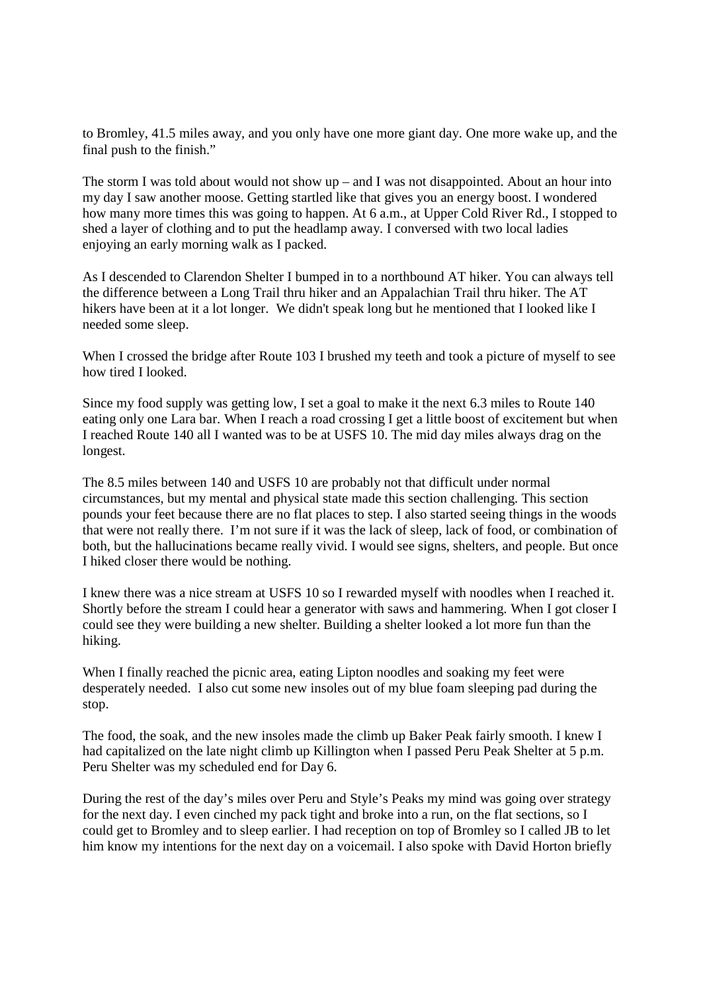to Bromley, 41.5 miles away, and you only have one more giant day. One more wake up, and the final push to the finish."

The storm I was told about would not show up – and I was not disappointed. About an hour into my day I saw another moose. Getting startled like that gives you an energy boost. I wondered how many more times this was going to happen. At 6 a.m., at Upper Cold River Rd., I stopped to shed a layer of clothing and to put the headlamp away. I conversed with two local ladies enjoying an early morning walk as I packed.

As I descended to Clarendon Shelter I bumped in to a northbound AT hiker. You can always tell the difference between a Long Trail thru hiker and an Appalachian Trail thru hiker. The AT hikers have been at it a lot longer. We didn't speak long but he mentioned that I looked like I needed some sleep.

When I crossed the bridge after Route 103 I brushed my teeth and took a picture of myself to see how tired I looked.

Since my food supply was getting low, I set a goal to make it the next 6.3 miles to Route 140 eating only one Lara bar. When I reach a road crossing I get a little boost of excitement but when I reached Route 140 all I wanted was to be at USFS 10. The mid day miles always drag on the longest.

The 8.5 miles between 140 and USFS 10 are probably not that difficult under normal circumstances, but my mental and physical state made this section challenging. This section pounds your feet because there are no flat places to step. I also started seeing things in the woods that were not really there. I'm not sure if it was the lack of sleep, lack of food, or combination of both, but the hallucinations became really vivid. I would see signs, shelters, and people. But once I hiked closer there would be nothing.

I knew there was a nice stream at USFS 10 so I rewarded myself with noodles when I reached it. Shortly before the stream I could hear a generator with saws and hammering. When I got closer I could see they were building a new shelter. Building a shelter looked a lot more fun than the hiking.

When I finally reached the picnic area, eating Lipton noodles and soaking my feet were desperately needed. I also cut some new insoles out of my blue foam sleeping pad during the stop.

The food, the soak, and the new insoles made the climb up Baker Peak fairly smooth. I knew I had capitalized on the late night climb up Killington when I passed Peru Peak Shelter at 5 p.m. Peru Shelter was my scheduled end for Day 6.

During the rest of the day's miles over Peru and Style's Peaks my mind was going over strategy for the next day. I even cinched my pack tight and broke into a run, on the flat sections, so I could get to Bromley and to sleep earlier. I had reception on top of Bromley so I called JB to let him know my intentions for the next day on a voicemail. I also spoke with David Horton briefly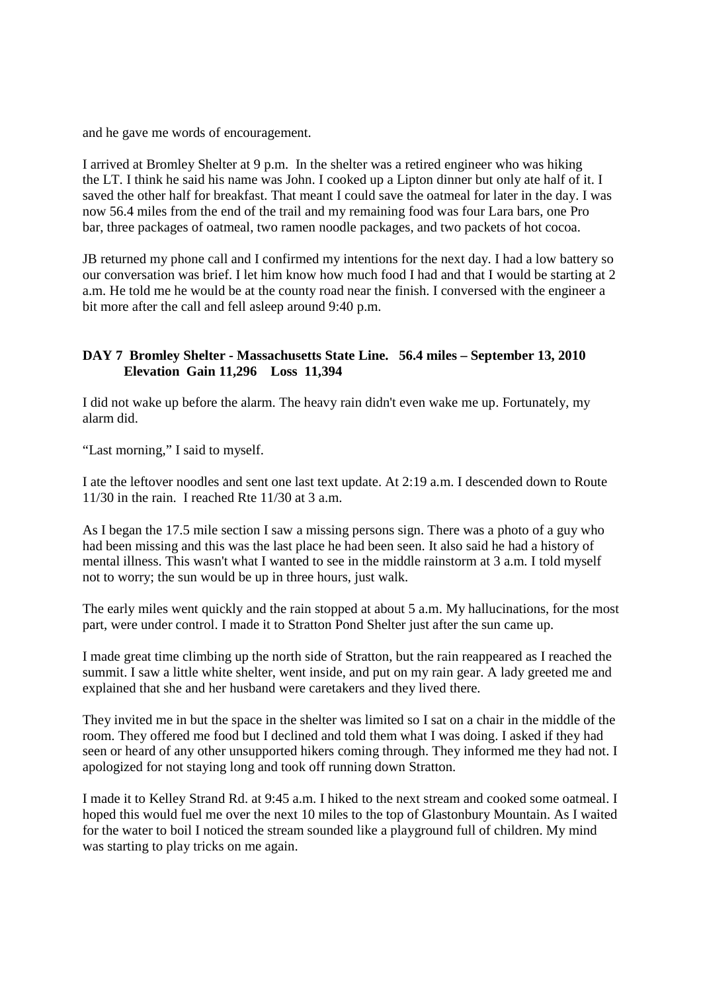and he gave me words of encouragement.

I arrived at Bromley Shelter at 9 p.m. In the shelter was a retired engineer who was hiking the LT. I think he said his name was John. I cooked up a Lipton dinner but only ate half of it. I saved the other half for breakfast. That meant I could save the oatmeal for later in the day. I was now 56.4 miles from the end of the trail and my remaining food was four Lara bars, one Pro bar, three packages of oatmeal, two ramen noodle packages, and two packets of hot cocoa.

JB returned my phone call and I confirmed my intentions for the next day. I had a low battery so our conversation was brief. I let him know how much food I had and that I would be starting at 2 a.m. He told me he would be at the county road near the finish. I conversed with the engineer a bit more after the call and fell asleep around 9:40 p.m.

### **DAY 7 Bromley Shelter - Massachusetts State Line. 56.4 miles – September 13, 2010 Elevation Gain 11,296 Loss 11,394**

I did not wake up before the alarm. The heavy rain didn't even wake me up. Fortunately, my alarm did.

"Last morning," I said to myself.

I ate the leftover noodles and sent one last text update. At 2:19 a.m. I descended down to Route 11/30 in the rain. I reached Rte 11/30 at 3 a.m.

As I began the 17.5 mile section I saw a missing persons sign. There was a photo of a guy who had been missing and this was the last place he had been seen. It also said he had a history of mental illness. This wasn't what I wanted to see in the middle rainstorm at 3 a.m. I told myself not to worry; the sun would be up in three hours, just walk.

The early miles went quickly and the rain stopped at about 5 a.m. My hallucinations, for the most part, were under control. I made it to Stratton Pond Shelter just after the sun came up.

I made great time climbing up the north side of Stratton, but the rain reappeared as I reached the summit. I saw a little white shelter, went inside, and put on my rain gear. A lady greeted me and explained that she and her husband were caretakers and they lived there.

They invited me in but the space in the shelter was limited so I sat on a chair in the middle of the room. They offered me food but I declined and told them what I was doing. I asked if they had seen or heard of any other unsupported hikers coming through. They informed me they had not. I apologized for not staying long and took off running down Stratton.

I made it to Kelley Strand Rd. at 9:45 a.m. I hiked to the next stream and cooked some oatmeal. I hoped this would fuel me over the next 10 miles to the top of Glastonbury Mountain. As I waited for the water to boil I noticed the stream sounded like a playground full of children. My mind was starting to play tricks on me again.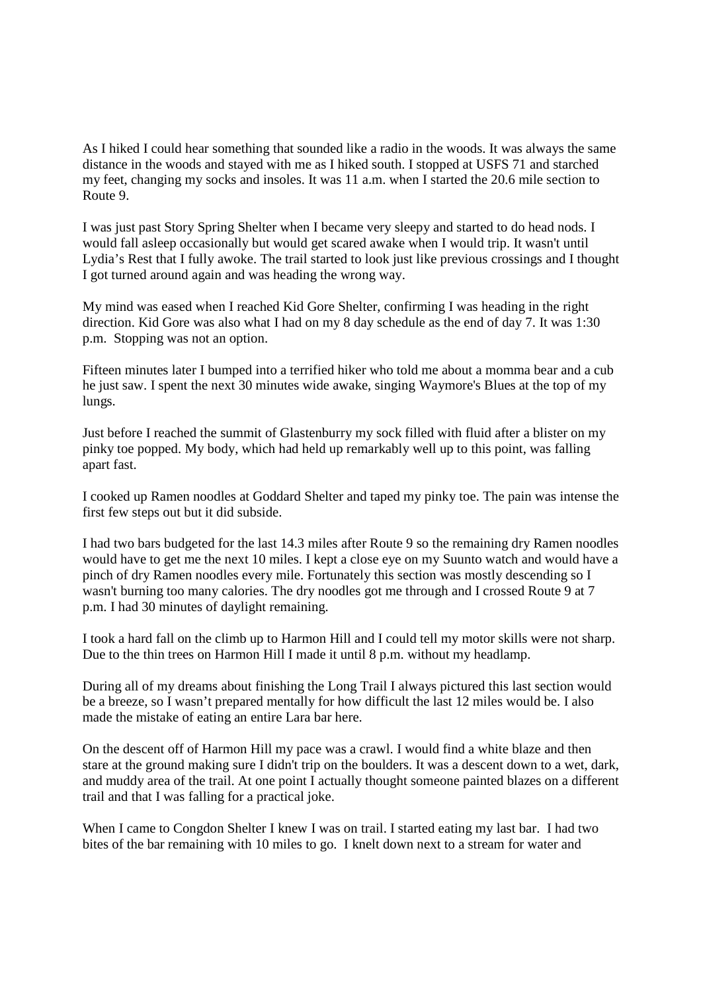As I hiked I could hear something that sounded like a radio in the woods. It was always the same distance in the woods and stayed with me as I hiked south. I stopped at USFS 71 and starched my feet, changing my socks and insoles. It was 11 a.m. when I started the 20.6 mile section to Route 9.

I was just past Story Spring Shelter when I became very sleepy and started to do head nods. I would fall asleep occasionally but would get scared awake when I would trip. It wasn't until Lydia's Rest that I fully awoke. The trail started to look just like previous crossings and I thought I got turned around again and was heading the wrong way.

My mind was eased when I reached Kid Gore Shelter, confirming I was heading in the right direction. Kid Gore was also what I had on my 8 day schedule as the end of day 7. It was 1:30 p.m. Stopping was not an option.

Fifteen minutes later I bumped into a terrified hiker who told me about a momma bear and a cub he just saw. I spent the next 30 minutes wide awake, singing Waymore's Blues at the top of my lungs.

Just before I reached the summit of Glastenburry my sock filled with fluid after a blister on my pinky toe popped. My body, which had held up remarkably well up to this point, was falling apart fast.

I cooked up Ramen noodles at Goddard Shelter and taped my pinky toe. The pain was intense the first few steps out but it did subside.

I had two bars budgeted for the last 14.3 miles after Route 9 so the remaining dry Ramen noodles would have to get me the next 10 miles. I kept a close eye on my Suunto watch and would have a pinch of dry Ramen noodles every mile. Fortunately this section was mostly descending so I wasn't burning too many calories. The dry noodles got me through and I crossed Route 9 at 7 p.m. I had 30 minutes of daylight remaining.

I took a hard fall on the climb up to Harmon Hill and I could tell my motor skills were not sharp. Due to the thin trees on Harmon Hill I made it until 8 p.m. without my headlamp.

During all of my dreams about finishing the Long Trail I always pictured this last section would be a breeze, so I wasn't prepared mentally for how difficult the last 12 miles would be. I also made the mistake of eating an entire Lara bar here.

On the descent off of Harmon Hill my pace was a crawl. I would find a white blaze and then stare at the ground making sure I didn't trip on the boulders. It was a descent down to a wet, dark, and muddy area of the trail. At one point I actually thought someone painted blazes on a different trail and that I was falling for a practical joke.

When I came to Congdon Shelter I knew I was on trail. I started eating my last bar. I had two bites of the bar remaining with 10 miles to go. I knelt down next to a stream for water and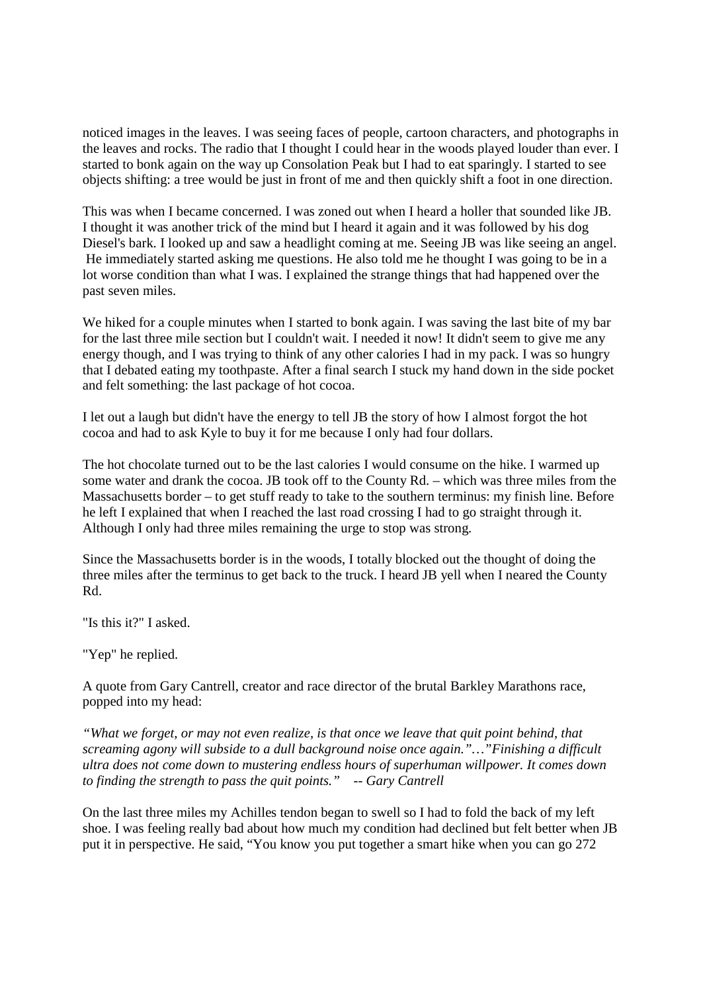noticed images in the leaves. I was seeing faces of people, cartoon characters, and photographs in the leaves and rocks. The radio that I thought I could hear in the woods played louder than ever. I started to bonk again on the way up Consolation Peak but I had to eat sparingly. I started to see objects shifting: a tree would be just in front of me and then quickly shift a foot in one direction.

This was when I became concerned. I was zoned out when I heard a holler that sounded like JB. I thought it was another trick of the mind but I heard it again and it was followed by his dog Diesel's bark. I looked up and saw a headlight coming at me. Seeing JB was like seeing an angel. He immediately started asking me questions. He also told me he thought I was going to be in a lot worse condition than what I was. I explained the strange things that had happened over the past seven miles.

We hiked for a couple minutes when I started to bonk again. I was saving the last bite of my bar for the last three mile section but I couldn't wait. I needed it now! It didn't seem to give me any energy though, and I was trying to think of any other calories I had in my pack. I was so hungry that I debated eating my toothpaste. After a final search I stuck my hand down in the side pocket and felt something: the last package of hot cocoa.

I let out a laugh but didn't have the energy to tell JB the story of how I almost forgot the hot cocoa and had to ask Kyle to buy it for me because I only had four dollars.

The hot chocolate turned out to be the last calories I would consume on the hike. I warmed up some water and drank the cocoa. JB took off to the County Rd. – which was three miles from the Massachusetts border – to get stuff ready to take to the southern terminus: my finish line. Before he left I explained that when I reached the last road crossing I had to go straight through it. Although I only had three miles remaining the urge to stop was strong.

Since the Massachusetts border is in the woods, I totally blocked out the thought of doing the three miles after the terminus to get back to the truck. I heard JB yell when I neared the County Rd.

"Is this it?" I asked.

"Yep" he replied.

A quote from Gary Cantrell, creator and race director of the brutal Barkley Marathons race, popped into my head:

*"What we forget, or may not even realize, is that once we leave that quit point behind, that screaming agony will subside to a dull background noise once again."…"Finishing a difficult ultra does not come down to mustering endless hours of superhuman willpower. It comes down to finding the strength to pass the quit points." -- Gary Cantrell*

On the last three miles my Achilles tendon began to swell so I had to fold the back of my left shoe. I was feeling really bad about how much my condition had declined but felt better when JB put it in perspective. He said, "You know you put together a smart hike when you can go 272